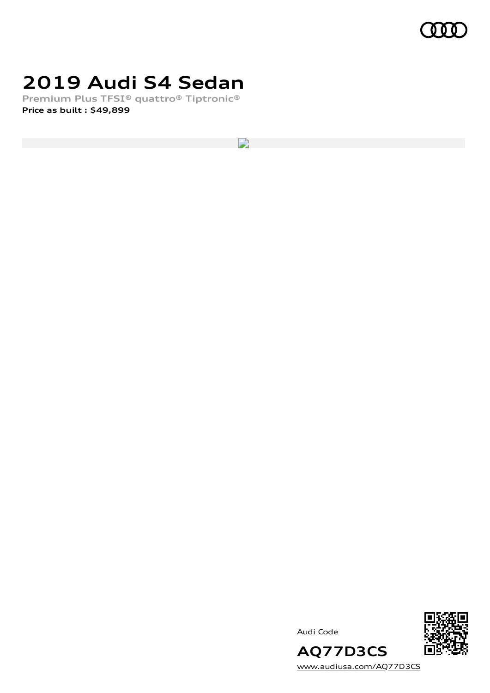

## **2019 Audi S4 Sedan**

**Premium Plus TFSI® quattro® Tiptronic® Price as built [:](#page-8-0) \$49,899**

 $\overline{\phantom{a}}$ 

Audi Code



**AQ77D3CS** [www.audiusa.com/AQ77D3CS](https://www.audiusa.com/AQ77D3CS)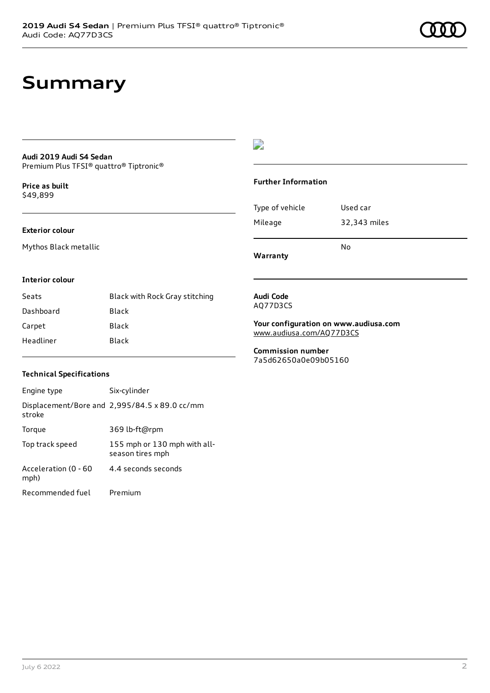## **Summary**

### **Audi 2019 Audi S4 Sedan**

Premium Plus TFSI® quattro® Tiptronic®

**Price as buil[t](#page-8-0)** \$49,899

#### **Exterior colour**

Mythos Black metallic

#### $\overline{\phantom{a}}$

#### **Further Information**

|                 | No           |
|-----------------|--------------|
| Mileage         | 32,343 miles |
| Type of vehicle | Used car     |

**Warranty**

#### **Interior colour**

| Seats     | Black with Rock Gray stitching |
|-----------|--------------------------------|
| Dashboard | Black                          |
| Carpet    | Black                          |
| Headliner | Black                          |

#### **Audi Code** AQ77D3CS

**Your configuration on www.audiusa.com** [www.audiusa.com/AQ77D3CS](https://www.audiusa.com/AQ77D3CS)

**Commission number** 7a5d62650a0e09b05160

#### **Technical Specifications**

| Engine type                  | Six-cylinder                                     |
|------------------------------|--------------------------------------------------|
| stroke                       | Displacement/Bore and 2,995/84.5 x 89.0 cc/mm    |
| Torque                       | 369 lb-ft@rpm                                    |
| Top track speed              | 155 mph or 130 mph with all-<br>season tires mph |
| Acceleration (0 - 60<br>mph) | 4 4 seconds seconds                              |
| Recommended fuel             | Premium                                          |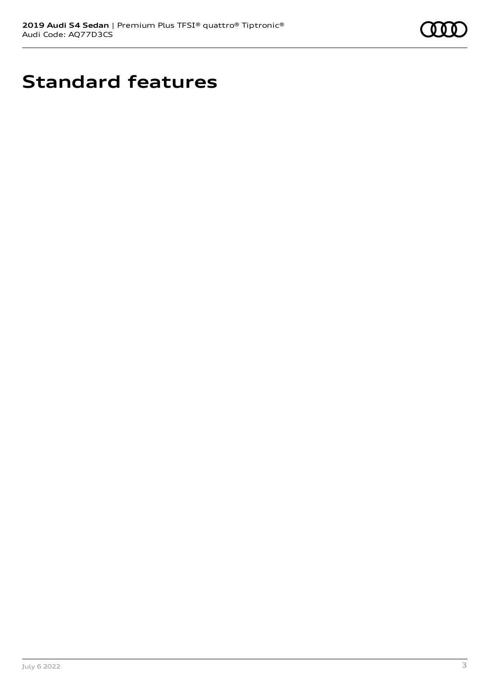

# **Standard features**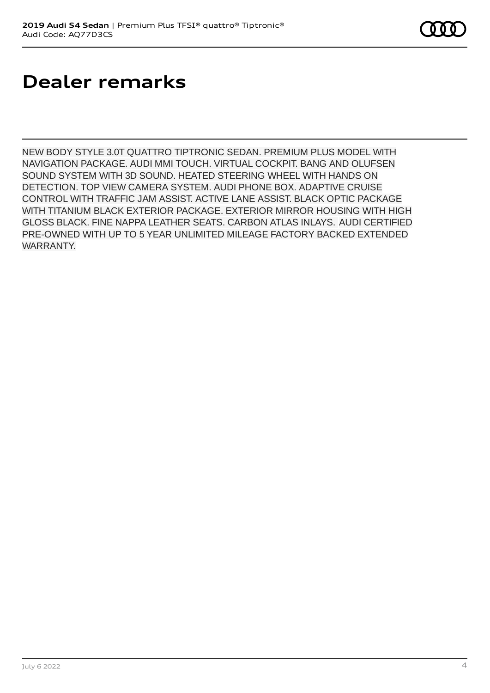# **Dealer remarks**

NEW BODY STYLE 3.0T QUATTRO TIPTRONIC SEDAN. PREMIUM PLUS MODEL WITH NAVIGATION PACKAGE. AUDI MMI TOUCH. VIRTUAL COCKPIT. BANG AND OLUFSEN SOUND SYSTEM WITH 3D SOUND. HEATED STEERING WHEEL WITH HANDS ON DETECTION. TOP VIEW CAMERA SYSTEM. AUDI PHONE BOX. ADAPTIVE CRUISE CONTROL WITH TRAFFIC JAM ASSIST. ACTIVE LANE ASSIST. BLACK OPTIC PACKAGE WITH TITANIUM BLACK EXTERIOR PACKAGE. EXTERIOR MIRROR HOUSING WITH HIGH GLOSS BLACK. FINE NAPPA LEATHER SEATS. CARBON ATLAS INLAYS. AUDI CERTIFIED PRE-OWNED WITH UP TO 5 YEAR UNLIMITED MILEAGE FACTORY BACKED EXTENDED WARRANTY.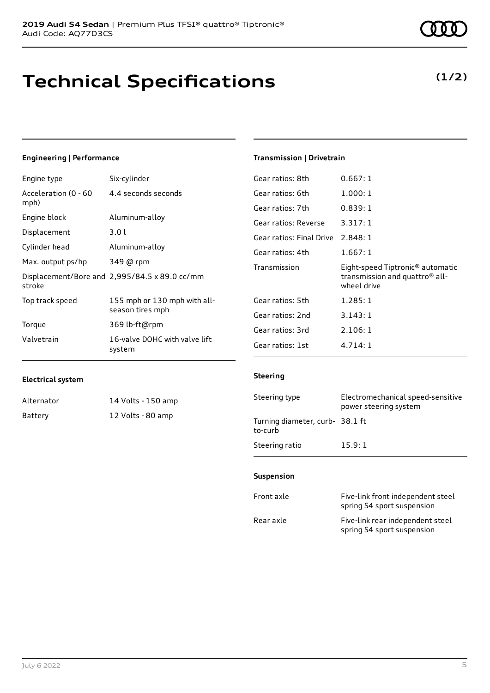# **Technical Specifications**

### Engine type Six-cylinder

**Engineering | Performance**

| Acceleration (0 - 60<br>mph) | 4.4 seconds seconds                              |
|------------------------------|--------------------------------------------------|
| Engine block                 | Aluminum-alloy                                   |
| Displacement                 | 3.01                                             |
| Cylinder head                | Aluminum-alloy                                   |
| Max. output ps/hp            | 349 @ rpm                                        |
| stroke                       | Displacement/Bore and 2,995/84.5 x 89.0 cc/mm    |
| Top track speed              | 155 mph or 130 mph with all-<br>season tires mph |
| Torque                       | 369 lb-ft@rpm                                    |
| Valvetrain                   | 16-valve DOHC with valve lift<br>system          |
|                              |                                                  |

#### **Transmission | Drivetrain**

| Gear ratios: 8th                  | 0.667:1                                                                                       |
|-----------------------------------|-----------------------------------------------------------------------------------------------|
| Gear ratios: 6th                  | 1.000:1                                                                                       |
| Gear ratios: 7th                  | 0.839:1                                                                                       |
| Gear ratios: Reverse              | 3.317:1                                                                                       |
| Gear ratios: Final Drive 2.848: 1 |                                                                                               |
| Gear ratios: 4th                  | 1.667:1                                                                                       |
|                                   |                                                                                               |
| Transmission                      | Eight-speed Tiptronic <sup>®</sup> automatic<br>transmission and quattro® all-<br>wheel drive |
| Gear ratios: 5th                  | 1.285:1                                                                                       |
| Gear ratios: 2nd                  | 3.143:1                                                                                       |
| Gear ratios: 3rd                  | 2.106:1                                                                                       |

#### **Electrical system**

| Alternator | 14 Volts - 150 amp |
|------------|--------------------|
| Battery    | 12 Volts - 80 amp  |

#### **Steering**

| Steering type                             | Electromechanical speed-sensitive<br>power steering system |
|-------------------------------------------|------------------------------------------------------------|
| Turning diameter, curb-38.1 ft<br>to-curb |                                                            |
| Steering ratio                            | 15.9:1                                                     |

#### **Suspension**

| Front axle | Five-link front independent steel<br>spring S4 sport suspension |
|------------|-----------------------------------------------------------------|
| Rear axle  | Five-link rear independent steel<br>spring S4 sport suspension  |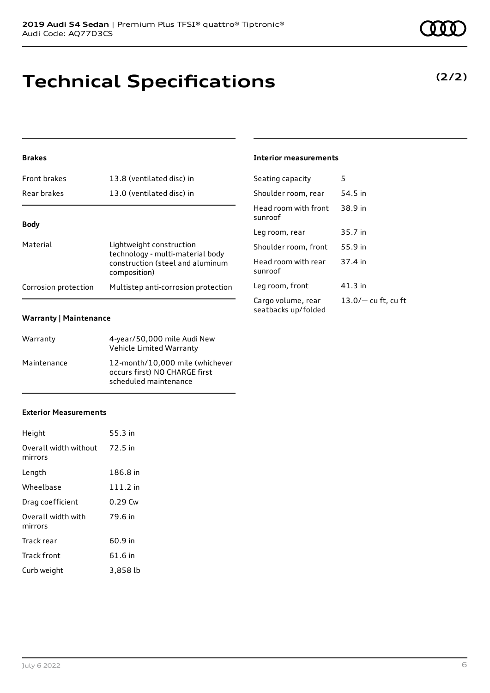# **Technical Specifications**

#### **Brakes**

| <b>Front brakes</b>  | 13.8 (ventilated disc) in                                                                                        |
|----------------------|------------------------------------------------------------------------------------------------------------------|
| Rear brakes          | 13.0 (ventilated disc) in                                                                                        |
|                      |                                                                                                                  |
| Body                 |                                                                                                                  |
| Material             | Lightweight construction<br>technology - multi-material body<br>construction (steel and aluminum<br>composition) |
| Corrosion protection | Multistep anti-corrosion protection                                                                              |

#### **Warranty | Maintenance**

| Warranty    | 4-year/50,000 mile Audi New<br>Vehicle Limited Warranty                                   |
|-------------|-------------------------------------------------------------------------------------------|
| Maintenance | 12-month/10,000 mile (whichever<br>occurs first) NO CHARGE first<br>scheduled maintenance |

#### **Exterior Measurements**

| Height                           | 55.3 in    |
|----------------------------------|------------|
| Overall width without<br>mirrors | 72.5 in    |
| Length                           | 186.8 in   |
| Wheelbase                        | $111.2$ in |
| Drag coefficient                 | $0.29$ Cw  |
| Overall width with<br>mirrors    | 79.6 in    |
| Track rear                       | 60.9 in    |
| Track front                      | 61.6 in    |
| Curb weight                      | 3,858 lb   |

### **Interior measurements**

| Seating capacity                          | 5                     |
|-------------------------------------------|-----------------------|
| Shoulder room, rear                       | 54.5 in               |
| Head room with front<br>sunroof           | 38.9 in               |
| Leg room, rear                            | 35.7 in               |
| Shoulder room, front                      | 55.9 in               |
| Head room with rear<br>sunroof            | 37.4 in               |
| Leg room, front                           | 41.3 in               |
| Cargo volume, rear<br>seatbacks up/folded | $13.0/-$ cu ft, cu ft |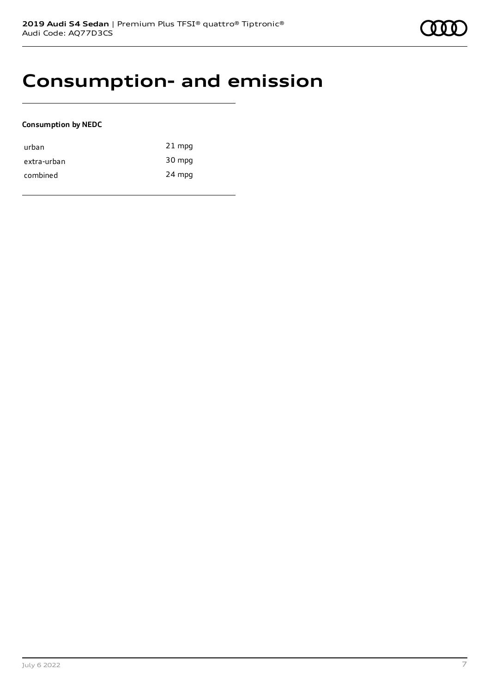### **Consumption- and emission**

#### **Consumption by NEDC**

| urban       | $21$ mpg |
|-------------|----------|
| extra-urban | 30 mpg   |
| combined    | 24 mpg   |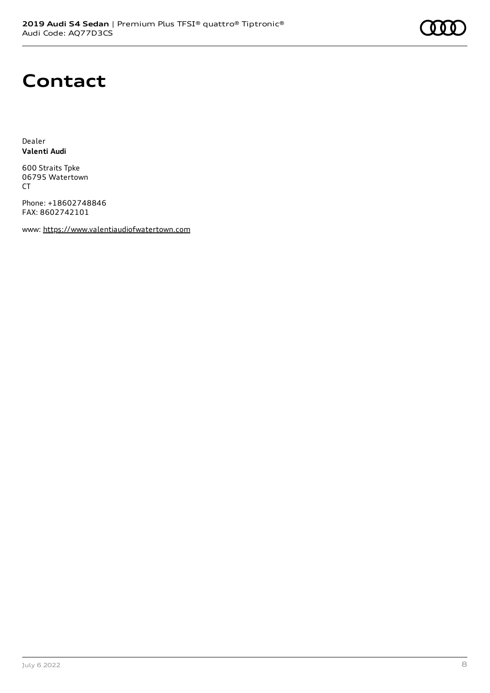## **Contact**

Dealer **Valenti Audi**

600 Straits Tpke 06795 Watertown CT

Phone: +18602748846 FAX: 8602742101

www: [https://www.valentiaudiofwatertown.com](https://www.valentiaudiofwatertown.com/)